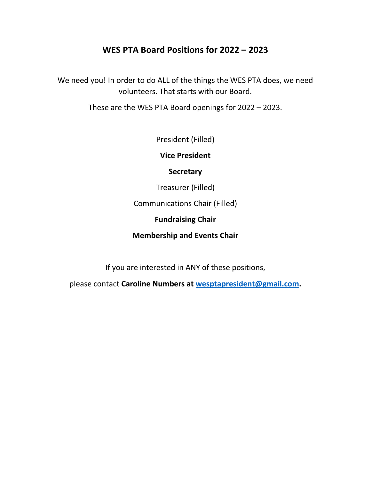## **WES PTA Board Positions for 2022 – 2023**

We need you! In order to do ALL of the things the WES PTA does, we need volunteers. That starts with our Board.

These are the WES PTA Board openings for 2022 – 2023.

President (Filled)

**Vice President**

**Secretary**

Treasurer (Filled)

Communications Chair (Filled)

**Fundraising Chair**

**Membership and Events Chair**

If you are interested in ANY of these positions,

please contact **Caroline Numbers at [wesptapresident@gmail.com.](mailto:wesptapresident@gmail.com)**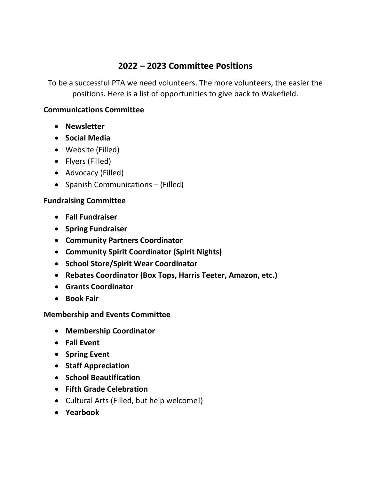# **2022 – 2023 Committee Positions**

To be a successful PTA we need volunteers. The more volunteers, the easier the positions. Here is a list of opportunities to give back to Wakefield.

### **Communications Committee**

- **Newsletter**
- **Social Media**
- Website (Filled)
- Flyers (Filled)
- Advocacy (Filled)
- Spanish Communications (Filled)

#### **Fundraising Committee**

- **Fall Fundraiser**
- **Spring Fundraiser**
- **Community Partners Coordinator**
- **Community Spirit Coordinator (Spirit Nights)**
- **School Store/Spirit Wear Coordinator**
- **Rebates Coordinator (Box Tops, Harris Teeter, Amazon, etc.)**
- **Grants Coordinator**
- **Book Fair**

### **Membership and Events Committee**

- **Membership Coordinator**
- **Fall Event**
- **Spring Event**
- **Staff Appreciation**
- **School Beautification**
- **Fifth Grade Celebration**
- Cultural Arts (Filled, but help welcome!)
- **Yearbook**